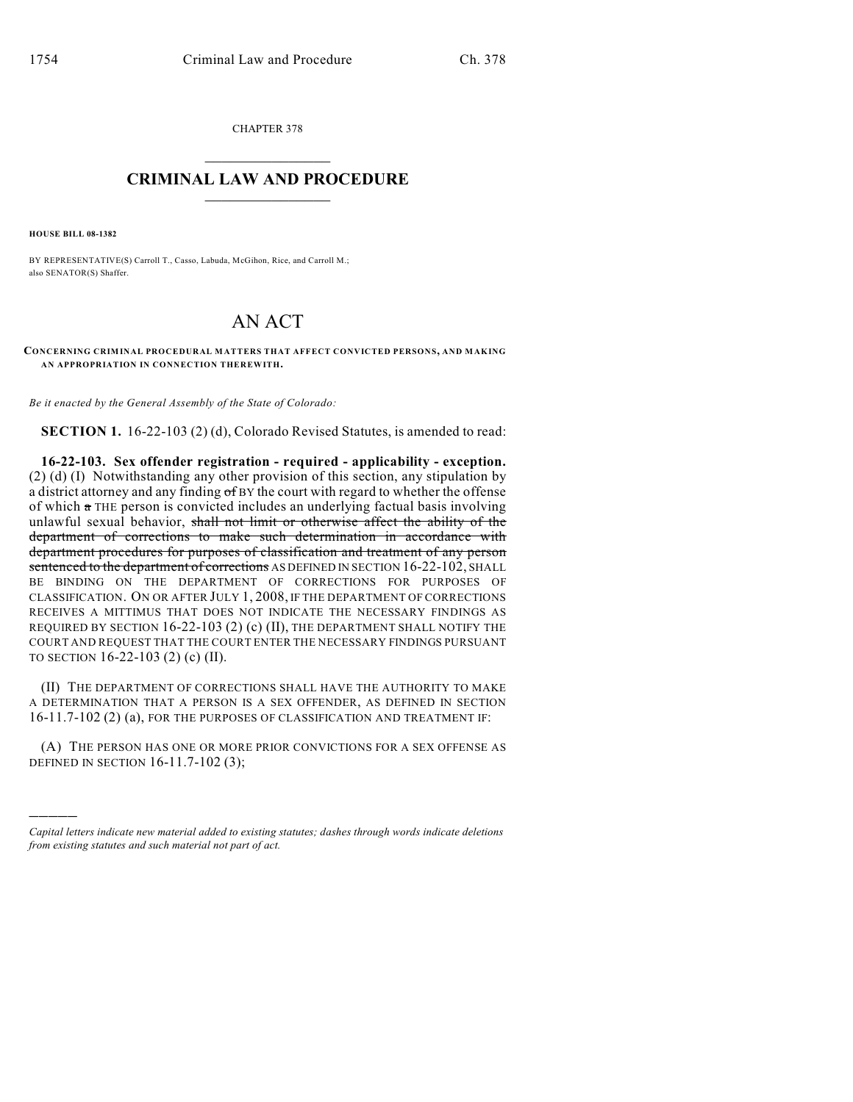CHAPTER 378

## $\overline{\phantom{a}}$  . The set of the set of the set of the set of the set of the set of the set of the set of the set of the set of the set of the set of the set of the set of the set of the set of the set of the set of the set o **CRIMINAL LAW AND PROCEDURE**  $\frac{1}{2}$  ,  $\frac{1}{2}$  ,  $\frac{1}{2}$  ,  $\frac{1}{2}$  ,  $\frac{1}{2}$  ,  $\frac{1}{2}$  ,  $\frac{1}{2}$

**HOUSE BILL 08-1382**

)))))

BY REPRESENTATIVE(S) Carroll T., Casso, Labuda, McGihon, Rice, and Carroll M.; also SENATOR(S) Shaffer.

## AN ACT

**CONCERNING CRIMINAL PROCEDURAL MATTERS THAT AFFECT CONVICTED PERSONS, AND MAKING AN APPROPRIATION IN CONNECTION THEREWITH.**

*Be it enacted by the General Assembly of the State of Colorado:*

**SECTION 1.** 16-22-103 (2) (d), Colorado Revised Statutes, is amended to read:

**16-22-103. Sex offender registration - required - applicability - exception.** (2) (d) (I) Notwithstanding any other provision of this section, any stipulation by a district attorney and any finding  $\sigma$  BY the court with regard to whether the offense of which  $\pi$  THE person is convicted includes an underlying factual basis involving unlawful sexual behavior, shall not limit or otherwise affect the ability of the department of corrections to make such determination in accordance with department procedures for purposes of classification and treatment of any person sentenced to the department of corrections AS DEFINED IN SECTION 16-22-102, SHALL BE BINDING ON THE DEPARTMENT OF CORRECTIONS FOR PURPOSES OF CLASSIFICATION. ON OR AFTER JULY 1, 2008, IF THE DEPARTMENT OF CORRECTIONS RECEIVES A MITTIMUS THAT DOES NOT INDICATE THE NECESSARY FINDINGS AS REQUIRED BY SECTION 16-22-103 (2) (c) (II), THE DEPARTMENT SHALL NOTIFY THE COURT AND REQUEST THAT THE COURT ENTER THE NECESSARY FINDINGS PURSUANT TO SECTION 16-22-103 (2) (c) (II).

(II) THE DEPARTMENT OF CORRECTIONS SHALL HAVE THE AUTHORITY TO MAKE A DETERMINATION THAT A PERSON IS A SEX OFFENDER, AS DEFINED IN SECTION 16-11.7-102 (2) (a), FOR THE PURPOSES OF CLASSIFICATION AND TREATMENT IF:

(A) THE PERSON HAS ONE OR MORE PRIOR CONVICTIONS FOR A SEX OFFENSE AS DEFINED IN SECTION 16-11.7-102 (3);

*Capital letters indicate new material added to existing statutes; dashes through words indicate deletions from existing statutes and such material not part of act.*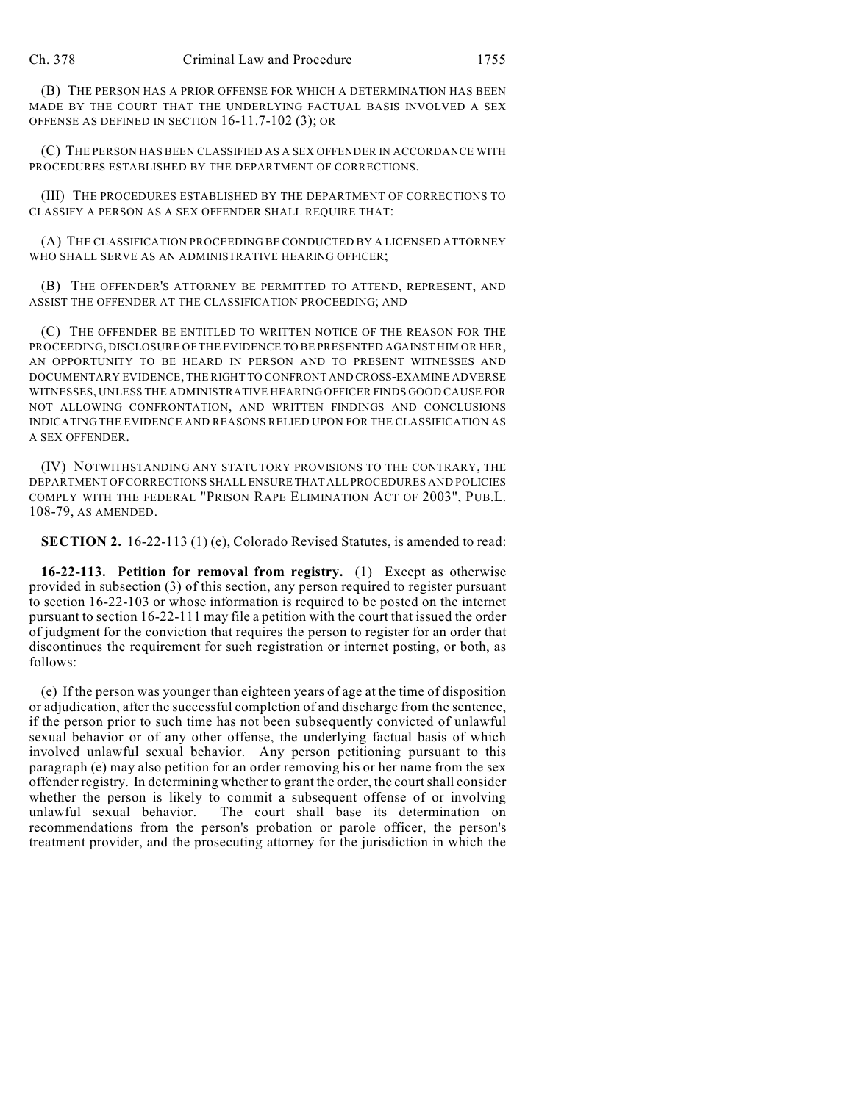(B) THE PERSON HAS A PRIOR OFFENSE FOR WHICH A DETERMINATION HAS BEEN MADE BY THE COURT THAT THE UNDERLYING FACTUAL BASIS INVOLVED A SEX OFFENSE AS DEFINED IN SECTION 16-11.7-102 (3); OR

(C) THE PERSON HAS BEEN CLASSIFIED AS A SEX OFFENDER IN ACCORDANCE WITH PROCEDURES ESTABLISHED BY THE DEPARTMENT OF CORRECTIONS.

(III) THE PROCEDURES ESTABLISHED BY THE DEPARTMENT OF CORRECTIONS TO CLASSIFY A PERSON AS A SEX OFFENDER SHALL REQUIRE THAT:

(A) THE CLASSIFICATION PROCEEDING BE CONDUCTED BY A LICENSED ATTORNEY WHO SHALL SERVE AS AN ADMINISTRATIVE HEARING OFFICER;

(B) THE OFFENDER'S ATTORNEY BE PERMITTED TO ATTEND, REPRESENT, AND ASSIST THE OFFENDER AT THE CLASSIFICATION PROCEEDING; AND

(C) THE OFFENDER BE ENTITLED TO WRITTEN NOTICE OF THE REASON FOR THE PROCEEDING, DISCLOSURE OF THE EVIDENCE TO BE PRESENTED AGAINST HIM OR HER, AN OPPORTUNITY TO BE HEARD IN PERSON AND TO PRESENT WITNESSES AND DOCUMENTARY EVIDENCE, THE RIGHT TO CONFRONT AND CROSS-EXAMINE ADVERSE WITNESSES, UNLESS THE ADMINISTRATIVE HEARING OFFICER FINDS GOOD CAUSE FOR NOT ALLOWING CONFRONTATION, AND WRITTEN FINDINGS AND CONCLUSIONS INDICATING THE EVIDENCE AND REASONS RELIED UPON FOR THE CLASSIFICATION AS A SEX OFFENDER.

(IV) NOTWITHSTANDING ANY STATUTORY PROVISIONS TO THE CONTRARY, THE DEPARTMENT OF CORRECTIONS SHALL ENSURE THAT ALL PROCEDURES AND POLICIES COMPLY WITH THE FEDERAL "PRISON RAPE ELIMINATION ACT OF 2003", PUB.L. 108-79, AS AMENDED.

**SECTION 2.** 16-22-113 (1) (e), Colorado Revised Statutes, is amended to read:

**16-22-113. Petition for removal from registry.** (1) Except as otherwise provided in subsection (3) of this section, any person required to register pursuant to section 16-22-103 or whose information is required to be posted on the internet pursuant to section 16-22-111 may file a petition with the court that issued the order of judgment for the conviction that requires the person to register for an order that discontinues the requirement for such registration or internet posting, or both, as follows:

(e) If the person was younger than eighteen years of age at the time of disposition or adjudication, after the successful completion of and discharge from the sentence, if the person prior to such time has not been subsequently convicted of unlawful sexual behavior or of any other offense, the underlying factual basis of which involved unlawful sexual behavior. Any person petitioning pursuant to this paragraph (e) may also petition for an order removing his or her name from the sex offender registry. In determining whether to grant the order, the court shall consider whether the person is likely to commit a subsequent offense of or involving unlawful sexual behavior. The court shall base its determination on The court shall base its determination on recommendations from the person's probation or parole officer, the person's treatment provider, and the prosecuting attorney for the jurisdiction in which the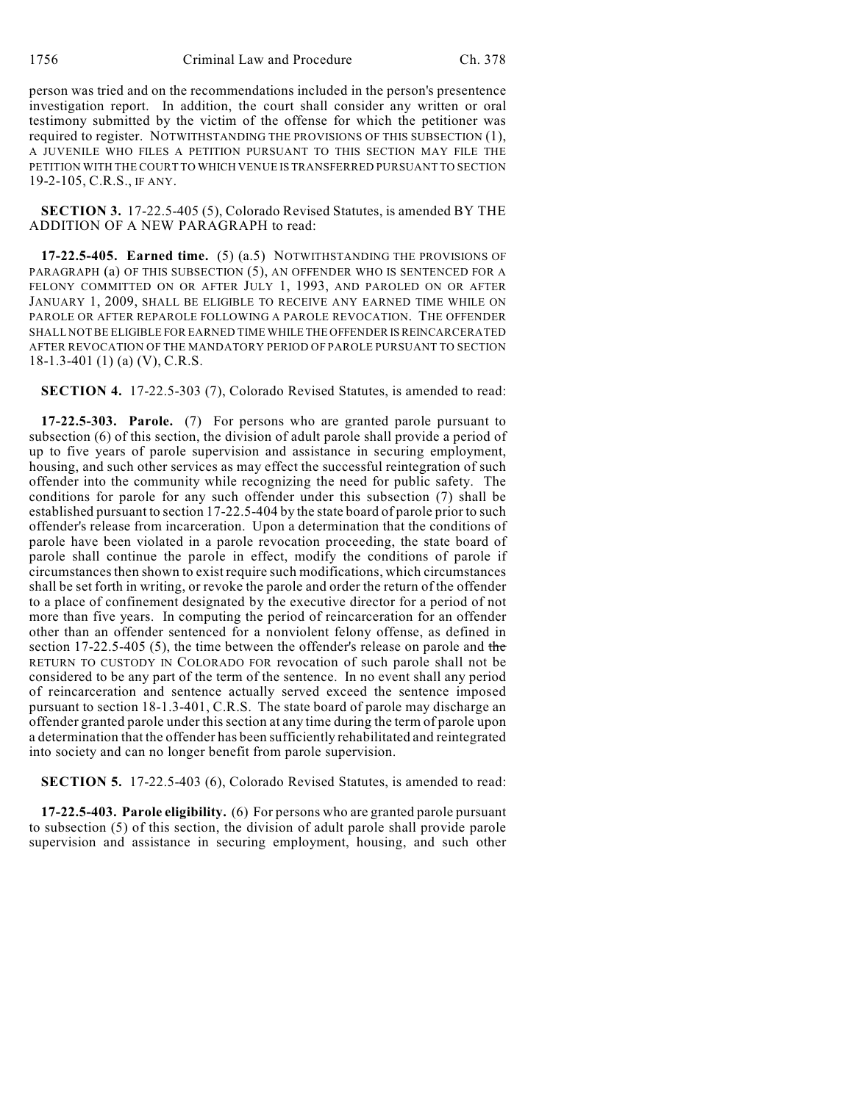person was tried and on the recommendations included in the person's presentence investigation report. In addition, the court shall consider any written or oral testimony submitted by the victim of the offense for which the petitioner was required to register. NOTWITHSTANDING THE PROVISIONS OF THIS SUBSECTION (1), A JUVENILE WHO FILES A PETITION PURSUANT TO THIS SECTION MAY FILE THE PETITION WITH THE COURT TO WHICH VENUE IS TRANSFERRED PURSUANT TO SECTION 19-2-105, C.R.S., IF ANY.

**SECTION 3.** 17-22.5-405 (5), Colorado Revised Statutes, is amended BY THE ADDITION OF A NEW PARAGRAPH to read:

**17-22.5-405. Earned time.** (5) (a.5) NOTWITHSTANDING THE PROVISIONS OF PARAGRAPH (a) OF THIS SUBSECTION (5), AN OFFENDER WHO IS SENTENCED FOR A FELONY COMMITTED ON OR AFTER JULY 1, 1993, AND PAROLED ON OR AFTER JANUARY 1, 2009, SHALL BE ELIGIBLE TO RECEIVE ANY EARNED TIME WHILE ON PAROLE OR AFTER REPAROLE FOLLOWING A PAROLE REVOCATION. THE OFFENDER SHALL NOT BE ELIGIBLE FOR EARNED TIME WHILE THE OFFENDER IS REINCARCERATED AFTER REVOCATION OF THE MANDATORY PERIOD OF PAROLE PURSUANT TO SECTION  $18-1.3-401(1)$  (a) (V), C.R.S.

**SECTION 4.** 17-22.5-303 (7), Colorado Revised Statutes, is amended to read:

**17-22.5-303. Parole.** (7) For persons who are granted parole pursuant to subsection (6) of this section, the division of adult parole shall provide a period of up to five years of parole supervision and assistance in securing employment, housing, and such other services as may effect the successful reintegration of such offender into the community while recognizing the need for public safety. The conditions for parole for any such offender under this subsection (7) shall be established pursuant to section 17-22.5-404 by the state board of parole prior to such offender's release from incarceration. Upon a determination that the conditions of parole have been violated in a parole revocation proceeding, the state board of parole shall continue the parole in effect, modify the conditions of parole if circumstances then shown to exist require such modifications, which circumstances shall be set forth in writing, or revoke the parole and order the return of the offender to a place of confinement designated by the executive director for a period of not more than five years. In computing the period of reincarceration for an offender other than an offender sentenced for a nonviolent felony offense, as defined in section 17-22.5-405 (5), the time between the offender's release on parole and the RETURN TO CUSTODY IN COLORADO FOR revocation of such parole shall not be considered to be any part of the term of the sentence. In no event shall any period of reincarceration and sentence actually served exceed the sentence imposed pursuant to section 18-1.3-401, C.R.S. The state board of parole may discharge an offender granted parole under this section at any time during the term of parole upon a determination that the offender has been sufficiently rehabilitated and reintegrated into society and can no longer benefit from parole supervision.

**SECTION 5.** 17-22.5-403 (6), Colorado Revised Statutes, is amended to read:

**17-22.5-403. Parole eligibility.** (6) For persons who are granted parole pursuant to subsection (5) of this section, the division of adult parole shall provide parole supervision and assistance in securing employment, housing, and such other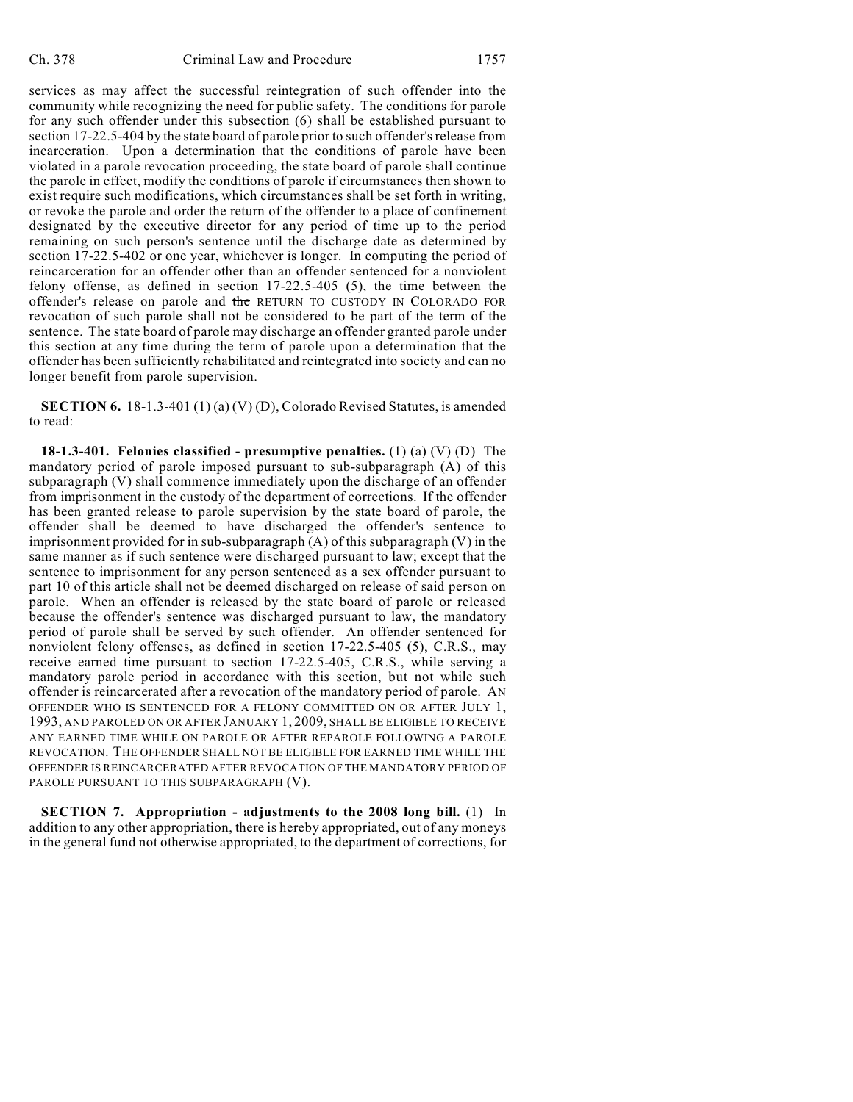services as may affect the successful reintegration of such offender into the community while recognizing the need for public safety. The conditions for parole for any such offender under this subsection (6) shall be established pursuant to section 17-22.5-404 by the state board of parole prior to such offender's release from incarceration. Upon a determination that the conditions of parole have been violated in a parole revocation proceeding, the state board of parole shall continue the parole in effect, modify the conditions of parole if circumstances then shown to exist require such modifications, which circumstances shall be set forth in writing, or revoke the parole and order the return of the offender to a place of confinement designated by the executive director for any period of time up to the period remaining on such person's sentence until the discharge date as determined by section 17-22.5-402 or one year, whichever is longer. In computing the period of reincarceration for an offender other than an offender sentenced for a nonviolent felony offense, as defined in section 17-22.5-405 (5), the time between the offender's release on parole and the RETURN TO CUSTODY IN COLORADO FOR revocation of such parole shall not be considered to be part of the term of the sentence. The state board of parole may discharge an offender granted parole under this section at any time during the term of parole upon a determination that the offender has been sufficiently rehabilitated and reintegrated into society and can no longer benefit from parole supervision.

**SECTION 6.** 18-1.3-401 (1) (a) (V) (D), Colorado Revised Statutes, is amended to read:

**18-1.3-401. Felonies classified - presumptive penalties.** (1) (a) (V) (D) The mandatory period of parole imposed pursuant to sub-subparagraph (A) of this subparagraph (V) shall commence immediately upon the discharge of an offender from imprisonment in the custody of the department of corrections. If the offender has been granted release to parole supervision by the state board of parole, the offender shall be deemed to have discharged the offender's sentence to imprisonment provided for in sub-subparagraph (A) of this subparagraph (V) in the same manner as if such sentence were discharged pursuant to law; except that the sentence to imprisonment for any person sentenced as a sex offender pursuant to part 10 of this article shall not be deemed discharged on release of said person on parole. When an offender is released by the state board of parole or released because the offender's sentence was discharged pursuant to law, the mandatory period of parole shall be served by such offender. An offender sentenced for nonviolent felony offenses, as defined in section 17-22.5-405 (5), C.R.S., may receive earned time pursuant to section 17-22.5-405, C.R.S., while serving a mandatory parole period in accordance with this section, but not while such offender is reincarcerated after a revocation of the mandatory period of parole. AN OFFENDER WHO IS SENTENCED FOR A FELONY COMMITTED ON OR AFTER JULY 1, 1993, AND PAROLED ON OR AFTER JANUARY 1, 2009, SHALL BE ELIGIBLE TO RECEIVE ANY EARNED TIME WHILE ON PAROLE OR AFTER REPAROLE FOLLOWING A PAROLE REVOCATION. THE OFFENDER SHALL NOT BE ELIGIBLE FOR EARNED TIME WHILE THE OFFENDER IS REINCARCERATED AFTER REVOCATION OF THE MANDATORY PERIOD OF PAROLE PURSUANT TO THIS SUBPARAGRAPH (V).

**SECTION 7. Appropriation - adjustments to the 2008 long bill.** (1) In addition to any other appropriation, there is hereby appropriated, out of any moneys in the general fund not otherwise appropriated, to the department of corrections, for